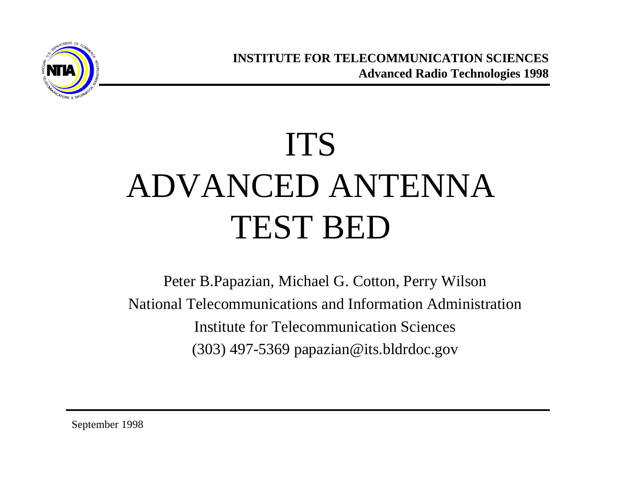

# ITS ADVANCED ANTENNA TEST BED

Peter B.Papazian, Michael G. Cotton, Perry Wilson National Telecommunications and Information Administration Institute for Telecommunication Sciences (303) 497-5369 papazian@its.bldrdoc.gov

September 1998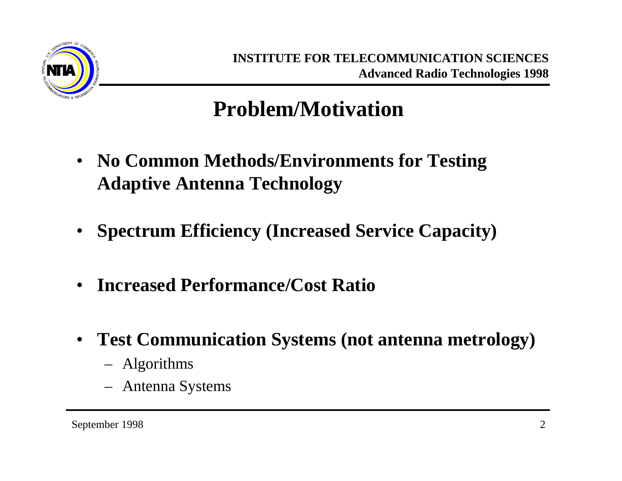

#### **Problem/Motivation**

- **No Common Methods/Environments for Testing Adaptive Antenna Technology**
- **Spectrum Efficiency (Increased Service Capacity)**
- **Increased Performance/Cost Ratio**
- **Test Communication Systems (not antenna metrology)**
	- Algorithms
	- Antenna Systems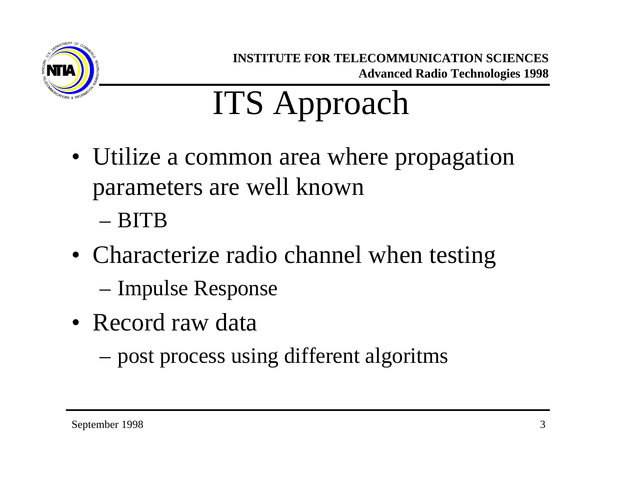

# ITS Approach

- Utilize a common area where propagation parameters are well known
	- BITB
- Characterize radio channel when testing
	- Impulse Response
- Record raw data
	- post process using different algoritms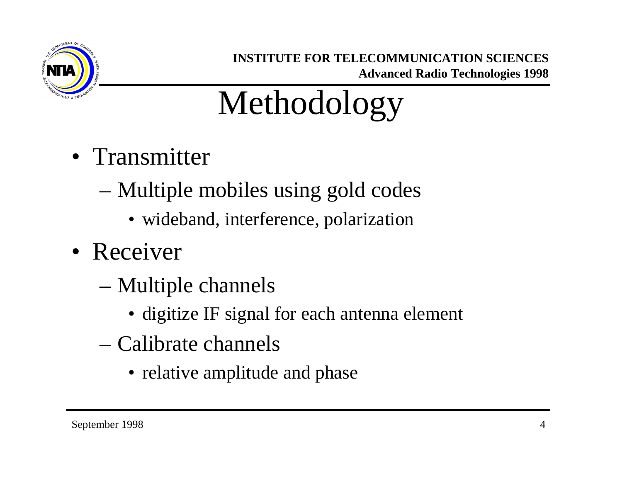

# Methodology

- Transmitter
	- Multiple mobiles using gold codes
		- wideband, interference, polarization
- Receiver
	- Multiple channels
		- digitize IF signal for each antenna element
	- Calibrate channels
		- relative amplitude and phase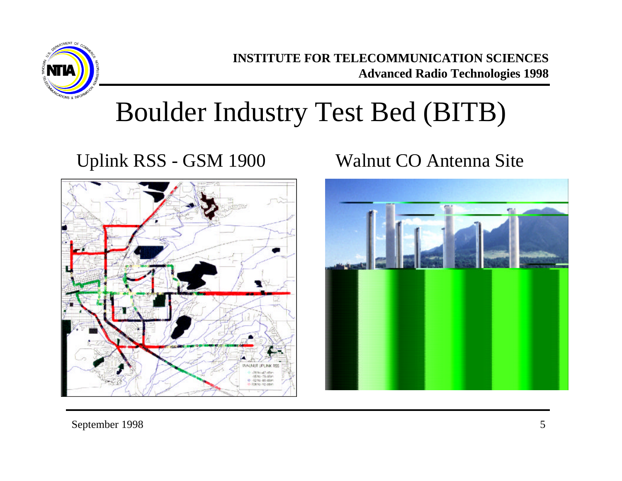

## Boulder Industry Test Bed (BITB)

#### Uplink RSS - GSM 1900 Walnut CO Antenna Site



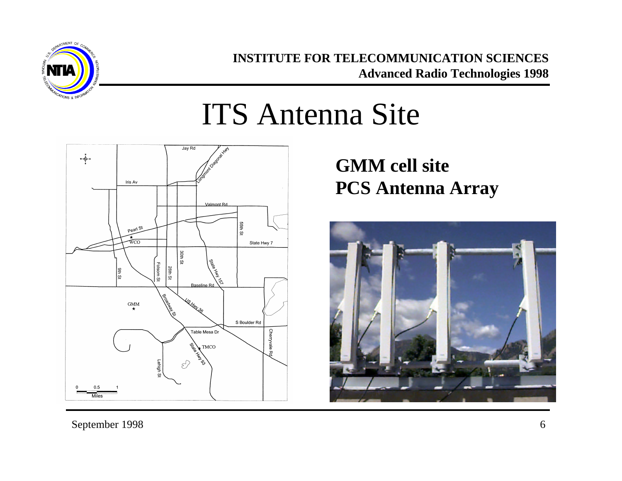

## ITS Antenna Site



**GMM cell site PCS Antenna Array**

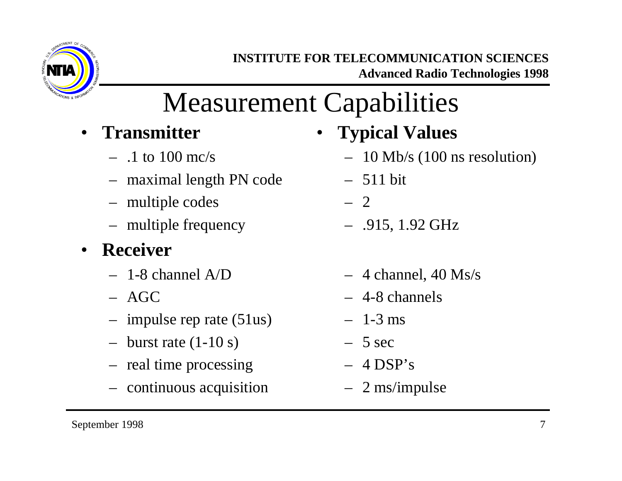

## Measurement Capabilities

- **Transmitter**
	- $-1$  to 100 mc/s
	- maximal length PN code
	- multiple codes
	- multiple frequency
- **Receiver**
	- $-$  1-8 channel A/D
	- AGC
	- impulse rep rate (51us)
	- $-$  burst rate  $(1-10 s)$
	- real time processing
	- continuous acquisition
- **Typical Values**
	- 10 Mb/s (100 ns resolution)
	- 511 bit
	- 2
	- .915, 1.92 GHz
	- $-4$  channel, 40 Ms/s
	- 4-8 channels
	- $-1-3$  ms
	- $-5$  sec
	- $-4$  DSP's
	- 2 ms/impulse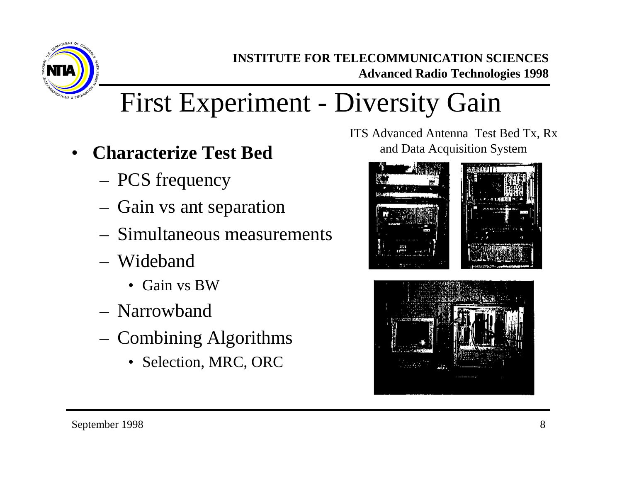

## First Experiment - Diversity Gain

- **Characterize Test Bed**
	- PCS frequency
	- Gain vs ant separation
	- Simultaneous measurements
	- Wideband
		- Gain vs BW
	- Narrowband
	- Combining Algorithms
		- Selection, MRC, ORC

ITS Advanced Antenna Test Bed Tx, Rx and Data Acquisition System



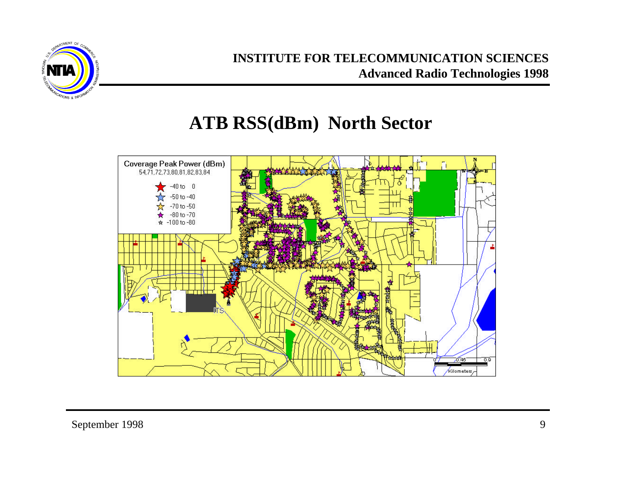

#### **ATB RSS(dBm) North Sector**

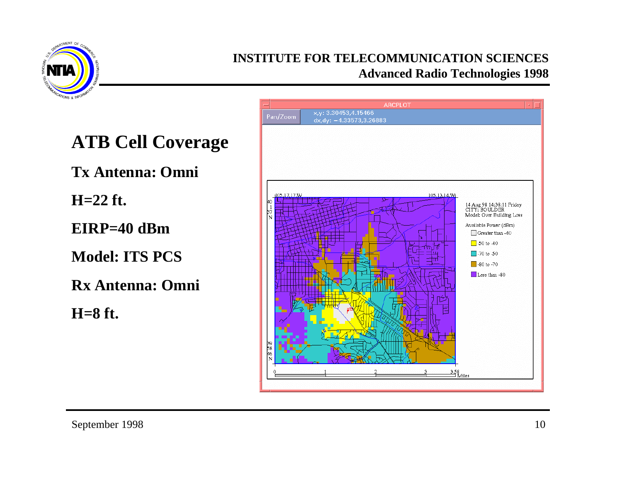

**ATB Cell Coverage Tx Antenna: Omni H=22 ft. EIRP=40 dBm Model: ITS PCS**

**Rx Antenna: Omni**

**H=8 ft.**